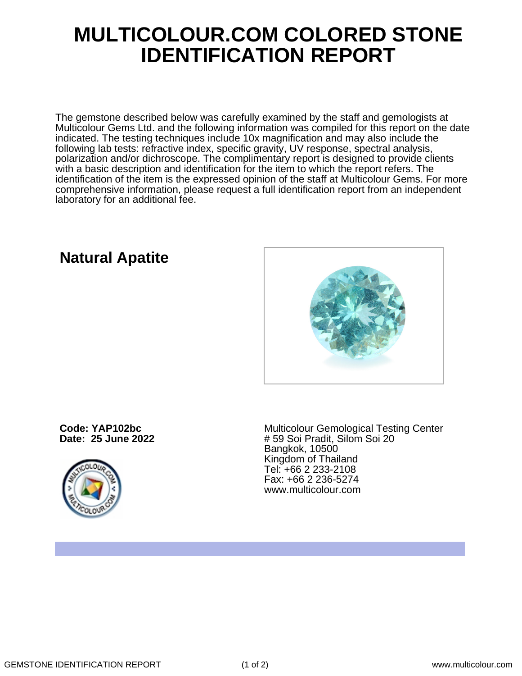## **MULTICOLOUR.COM COLORED STONE IDENTIFICATION REPORT**

The gemstone described below was carefully examined by the staff and gemologists at Multicolour Gems Ltd. and the following information was compiled for this report on the date indicated. The testing techniques include 10x magnification and may also include the following lab tests: refractive index, specific gravity, UV response, spectral analysis, polarization and/or dichroscope. The complimentary report is designed to provide clients with a basic description and identification for the item to which the report refers. The identification of the item is the expressed opinion of the staff at Multicolour Gems. For more comprehensive information, please request a full identification report from an independent laboratory for an additional fee.

## **Natural Apatite**



**Code: YAP102bc Date: 25 June 2022**



Multicolour Gemological Testing Center # 59 Soi Pradit, Silom Soi 20 Bangkok, 10500 Kingdom of Thailand Tel: +66 2 233-2108 Fax: +66 2 236-5274 www.multicolour.com